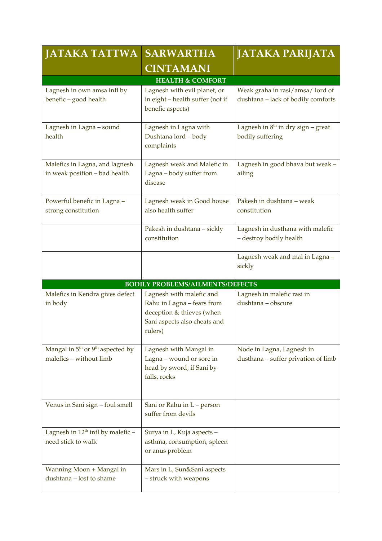| <b>JATAKA TATTWA</b>                                            | <b>SARWARTHA</b>                                                                                                               | <b>JATAKA PARIJATA</b>                                                |
|-----------------------------------------------------------------|--------------------------------------------------------------------------------------------------------------------------------|-----------------------------------------------------------------------|
|                                                                 | <b>CINTAMANI</b>                                                                                                               |                                                                       |
|                                                                 | <b>HEALTH &amp; COMFORT</b>                                                                                                    |                                                                       |
| Lagnesh in own amsa infl by<br>benefic - good health            | Lagnesh with evil planet, or<br>in eight - health suffer (not if<br>benefic aspects)                                           | Weak graha in rasi/amsa/lord of<br>dushtana - lack of bodily comforts |
| Lagnesh in Lagna - sound<br>health                              | Lagnesh in Lagna with<br>Dushtana lord - body<br>complaints                                                                    | Lagnesh in $8th$ in dry sign – great<br>bodily suffering              |
| Malefics in Lagna, and lagnesh<br>in weak position - bad health | Lagnesh weak and Malefic in<br>Lagna - body suffer from<br>disease                                                             | Lagnesh in good bhava but weak -<br>ailing                            |
| Powerful benefic in Lagna -<br>strong constitution              | Lagnesh weak in Good house<br>also health suffer                                                                               | Pakesh in dushtana - weak<br>constitution                             |
|                                                                 | Pakesh in dushtana - sickly<br>constitution                                                                                    | Lagnesh in dusthana with malefic<br>- destroy bodily health           |
|                                                                 |                                                                                                                                | Lagnesh weak and mal in Lagna -<br>sickly                             |
|                                                                 | <b>BODILY PROBLEMS/AILMENTS/DEFECTS</b>                                                                                        |                                                                       |
| Malefics in Kendra gives defect<br>in body                      | Lagnesh with malefic and<br>Rahu in Lagna - fears from<br>deception & thieves (when<br>Sani aspects also cheats and<br>rulers) | Lagnesh in malefic rasi in<br>dushtana - obscure                      |
| Mangal in $5th$ or $9th$ aspected by<br>malefics - without limb | Lagnesh with Mangal in<br>Lagna – wound or sore in<br>head by sword, if Sani by<br>falls, rocks                                | Node in Lagna, Lagnesh in<br>dusthana - suffer privation of limb      |
| Venus in Sani sign - foul smell                                 | Sani or Rahu in L - person<br>suffer from devils                                                                               |                                                                       |
| Lagnesh in $12^{th}$ infl by malefic –<br>need stick to walk    | Surya in L, Kuja aspects -<br>asthma, consumption, spleen<br>or anus problem                                                   |                                                                       |
| Wanning Moon + Mangal in<br>dushtana - lost to shame            | Mars in L, Sun&Sani aspects<br>- struck with weapons                                                                           |                                                                       |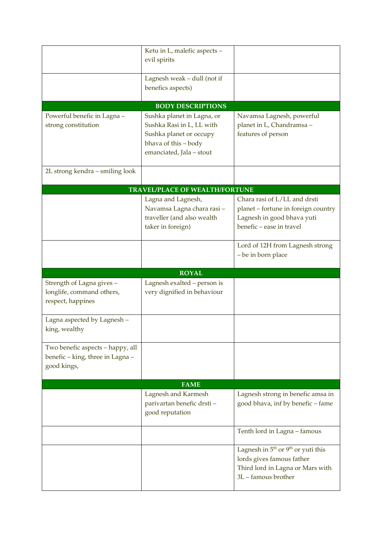|                                                                                     | Ketu in L, malefic aspects -<br>evil spirits                                                                                           |                                                                                                                               |  |  |
|-------------------------------------------------------------------------------------|----------------------------------------------------------------------------------------------------------------------------------------|-------------------------------------------------------------------------------------------------------------------------------|--|--|
|                                                                                     |                                                                                                                                        |                                                                                                                               |  |  |
|                                                                                     | Lagnesh weak - dull (not if<br>benefics aspects)                                                                                       |                                                                                                                               |  |  |
|                                                                                     |                                                                                                                                        |                                                                                                                               |  |  |
|                                                                                     | <b>BODY DESCRIPTIONS</b>                                                                                                               |                                                                                                                               |  |  |
| Powerful benefic in Lagna -<br>strong constitution                                  | Sushka planet in Lagna, or<br>Sushka Rasi in L, LL with<br>Sushka planet or occupy<br>bhava of this - body<br>emanciated, Jala - stout | Navamsa Lagnesh, powerful<br>planet in L, Chandramsa -<br>features of person                                                  |  |  |
| 2L strong kendra – smiling look                                                     |                                                                                                                                        |                                                                                                                               |  |  |
| TRAVEL/PLACE OF WEALTH/FORTUNE                                                      |                                                                                                                                        |                                                                                                                               |  |  |
|                                                                                     | Lagna and Lagnesh,<br>Navamsa Lagna chara rasi-<br>traveller (and also wealth<br>taker in foreign)                                     | Chara rasi of L/LL and drsti<br>planet - fortune in foreign country<br>Lagnesh in good bhava yuti<br>benefic - ease in travel |  |  |
|                                                                                     |                                                                                                                                        | Lord of 12H from Lagnesh strong<br>- be in born place                                                                         |  |  |
|                                                                                     |                                                                                                                                        |                                                                                                                               |  |  |
|                                                                                     | <b>ROYAL</b>                                                                                                                           |                                                                                                                               |  |  |
| Strength of Lagna gives -<br>longlife, command others,<br>respect, happines         | Lagnesh exalted - person is<br>very dignified in behaviour                                                                             |                                                                                                                               |  |  |
| Lagna aspected by Lagnesh -<br>king, wealthy                                        |                                                                                                                                        |                                                                                                                               |  |  |
| Two benefic aspects - happy, all<br>benefic - king, three in Lagna -<br>good kings, |                                                                                                                                        |                                                                                                                               |  |  |
|                                                                                     | <b>FAME</b>                                                                                                                            |                                                                                                                               |  |  |
|                                                                                     | Lagnesh and Karmesh<br>parivartan benefic drsti-<br>good reputation                                                                    | Lagnesh strong in benefic amsa in<br>good bhava, inf by benefic - fame                                                        |  |  |
|                                                                                     |                                                                                                                                        | Tenth lord in Lagna - famous                                                                                                  |  |  |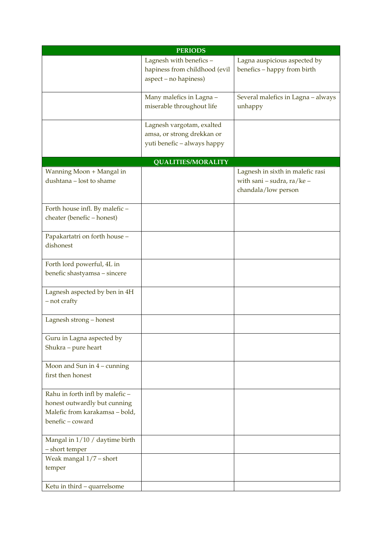| <b>PERIODS</b>                                                  |                               |                                    |
|-----------------------------------------------------------------|-------------------------------|------------------------------------|
|                                                                 | Lagnesh with benefics -       | Lagna auspicious aspected by       |
|                                                                 | hapiness from childhood (evil | benefics - happy from birth        |
|                                                                 | aspect - no hapiness)         |                                    |
|                                                                 | Many malefics in Lagna -      | Several malefics in Lagna - always |
|                                                                 | miserable throughout life     | unhappy                            |
|                                                                 | Lagnesh vargotam, exalted     |                                    |
|                                                                 | amsa, or strong drekkan or    |                                    |
|                                                                 | yuti benefic - always happy   |                                    |
|                                                                 | <b>QUALITIES/MORALITY</b>     |                                    |
| Wanning Moon + Mangal in                                        |                               | Lagnesh in sixth in malefic rasi   |
| dushtana - lost to shame                                        |                               | with sani - sudra, ra/ke -         |
|                                                                 |                               | chandala/low person                |
| Forth house infl. By malefic -                                  |                               |                                    |
| cheater (benefic-honest)                                        |                               |                                    |
|                                                                 |                               |                                    |
| Papakartatri on forth house -                                   |                               |                                    |
| dishonest                                                       |                               |                                    |
| Forth lord powerful, 4L in                                      |                               |                                    |
| benefic shastyamsa - sincere                                    |                               |                                    |
|                                                                 |                               |                                    |
| Lagnesh aspected by ben in 4H                                   |                               |                                    |
| - not crafty                                                    |                               |                                    |
| Lagnesh strong - honest                                         |                               |                                    |
|                                                                 |                               |                                    |
| Guru in Lagna aspected by                                       |                               |                                    |
| Shukra - pure heart                                             |                               |                                    |
| Moon and Sun in $4$ – cunning                                   |                               |                                    |
| first then honest                                               |                               |                                    |
|                                                                 |                               |                                    |
| Rahu in forth infl by malefic -<br>honest outwardly but cunning |                               |                                    |
| Malefic from karakamsa - bold,                                  |                               |                                    |
| benefic-coward                                                  |                               |                                    |
|                                                                 |                               |                                    |
| Mangal in 1/10 / daytime birth                                  |                               |                                    |
| - short temper                                                  |                               |                                    |
| Weak mangal 1/7 - short                                         |                               |                                    |
| temper                                                          |                               |                                    |
| Ketu in third - quarrelsome                                     |                               |                                    |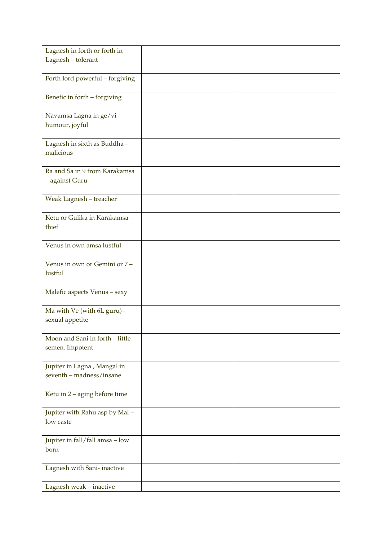| Lagnesh in forth or forth in                       |  |
|----------------------------------------------------|--|
| Lagnesh - tolerant                                 |  |
|                                                    |  |
| Forth lord powerful - forgiving                    |  |
| Benefic in forth - forgiving                       |  |
| Navamsa Lagna in ge/vi-                            |  |
| humour, joyful                                     |  |
| Lagnesh in sixth as Buddha -<br>malicious          |  |
|                                                    |  |
| Ra and Sa in 9 from Karakamsa                      |  |
| - against Guru                                     |  |
| Weak Lagnesh - treacher                            |  |
|                                                    |  |
| Ketu or Gulika in Karakamsa -                      |  |
| thief                                              |  |
| Venus in own amsa lustful                          |  |
|                                                    |  |
| Venus in own or Gemini or 7 -                      |  |
| lustful                                            |  |
|                                                    |  |
| Malefic aspects Venus - sexy                       |  |
| Ma with Ve (with 6L guru)-                         |  |
| sexual appetite                                    |  |
|                                                    |  |
| Moon and Sani in forth - little<br>semen. Impotent |  |
|                                                    |  |
| Jupiter in Lagna, Mangal in                        |  |
| seventh - madness/insane                           |  |
|                                                    |  |
| Ketu in 2 - aging before time                      |  |
| Jupiter with Rahu asp by Mal-                      |  |
| low caste                                          |  |
| Jupiter in fall/fall amsa - low                    |  |
| born                                               |  |
|                                                    |  |
| Lagnesh with Sani-inactive                         |  |
| Lagnesh weak - inactive                            |  |